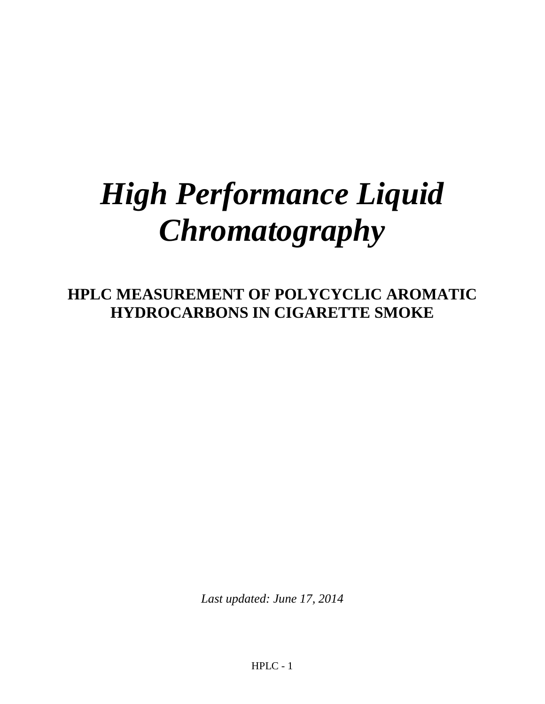# *High Performance Liquid Chromatography*

**HPLC MEASUREMENT OF POLYCYCLIC AROMATIC HYDROCARBONS IN CIGARETTE SMOKE**

*Last updated: June 17, 2014*

HPLC - 1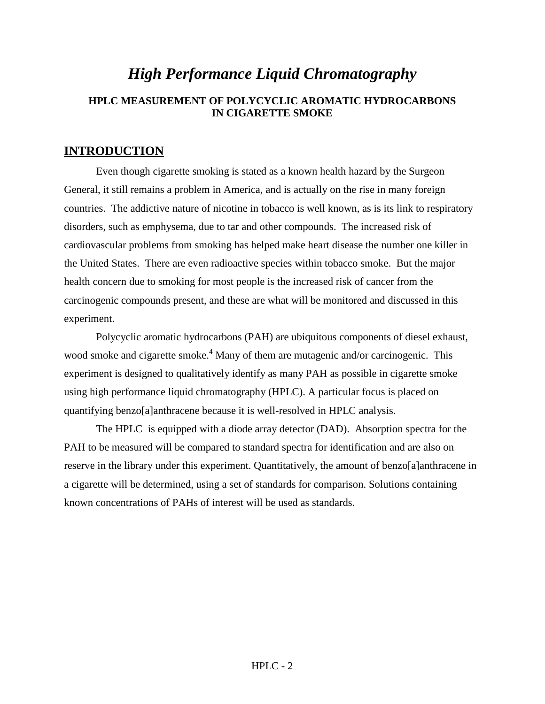# *High Performance Liquid Chromatography* **HPLC MEASUREMENT OF POLYCYCLIC AROMATIC HYDROCARBONS IN CIGARETTE SMOKE**

# **INTRODUCTION**

Even though cigarette smoking is stated as a known health hazard by the Surgeon General, it still remains a problem in America, and is actually on the rise in many foreign countries. The addictive nature of nicotine in tobacco is well known, as is its link to respiratory disorders, such as emphysema, due to tar and other compounds. The increased risk of cardiovascular problems from smoking has helped make heart disease the number one killer in the United States. There are even radioactive species within tobacco smoke. But the major health concern due to smoking for most people is the increased risk of cancer from the carcinogenic compounds present, and these are what will be monitored and discussed in this experiment.

Polycyclic aromatic hydrocarbons (PAH) are ubiquitous components of diesel exhaust, wood smoke and cigarette smoke.<sup>4</sup> Many of them are mutagenic and/or carcinogenic. This experiment is designed to qualitatively identify as many PAH as possible in cigarette smoke using high performance liquid chromatography (HPLC). A particular focus is placed on quantifying benzo[a]anthracene because it is well-resolved in HPLC analysis.

The HPLC is equipped with a diode array detector (DAD). Absorption spectra for the PAH to be measured will be compared to standard spectra for identification and are also on reserve in the library under this experiment. Quantitatively, the amount of benzo[a]anthracene in a cigarette will be determined, using a set of standards for comparison. Solutions containing known concentrations of PAHs of interest will be used as standards.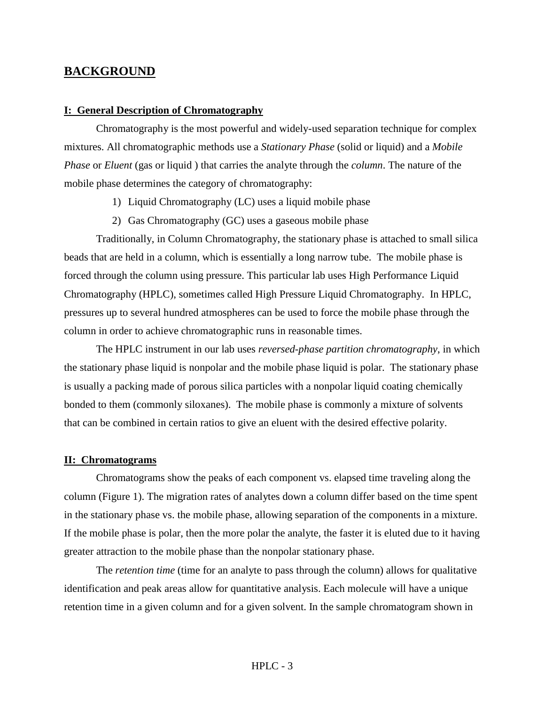### **BACKGROUND**

#### **I: General Description of Chromatography**

Chromatography is the most powerful and widely-used separation technique for complex mixtures. All chromatographic methods use a *Stationary Phase* (solid or liquid) and a *Mobile Phase* or *Eluent* (gas or liquid ) that carries the analyte through the *column*. The nature of the mobile phase determines the category of chromatography:

- 1) Liquid Chromatography (LC) uses a liquid mobile phase
- 2) Gas Chromatography (GC) uses a gaseous mobile phase

Traditionally, in Column Chromatography, the stationary phase is attached to small silica beads that are held in a column, which is essentially a long narrow tube. The mobile phase is forced through the column using pressure. This particular lab uses High Performance Liquid Chromatography (HPLC), sometimes called High Pressure Liquid Chromatography. In HPLC, pressures up to several hundred atmospheres can be used to force the mobile phase through the column in order to achieve chromatographic runs in reasonable times.

The HPLC instrument in our lab uses *reversed-phase partition chromatography*, in which the stationary phase liquid is nonpolar and the mobile phase liquid is polar. The stationary phase is usually a packing made of porous silica particles with a nonpolar liquid coating chemically bonded to them (commonly siloxanes). The mobile phase is commonly a mixture of solvents that can be combined in certain ratios to give an eluent with the desired effective polarity.

#### **II: Chromatograms**

Chromatograms show the peaks of each component vs. elapsed time traveling along the column (Figure 1). The migration rates of analytes down a column differ based on the time spent in the stationary phase vs. the mobile phase, allowing separation of the components in a mixture. If the mobile phase is polar, then the more polar the analyte, the faster it is eluted due to it having greater attraction to the mobile phase than the nonpolar stationary phase.

The *retention time* (time for an analyte to pass through the column) allows for qualitative identification and peak areas allow for quantitative analysis. Each molecule will have a unique retention time in a given column and for a given solvent. In the sample chromatogram shown in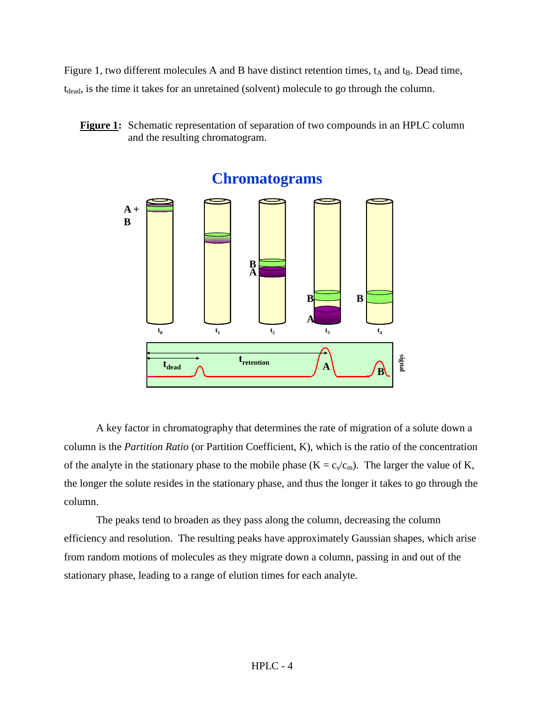Figure 1, two different molecules A and B have distinct retention times,  $t_A$  and  $t_B$ . Dead time, t<sub>dead</sub>, is the time it takes for an unretained (solvent) molecule to go through the column.

**Figure 1:** Schematic representation of separation of two compounds in an HPLC column and the resulting chromatogram.



**Chromatograms**

A key factor in chromatography that determines the rate of migration of a solute down a column is the *Partition Ratio* (or Partition Coefficient, K), which is the ratio of the concentration of the analyte in the stationary phase to the mobile phase  $(K = c_s/c_m)$ . The larger the value of K, the longer the solute resides in the stationary phase, and thus the longer it takes to go through the column.

The peaks tend to broaden as they pass along the column, decreasing the column efficiency and resolution. The resulting peaks have approximately Gaussian shapes, which arise from random motions of molecules as they migrate down a column, passing in and out of the stationary phase, leading to a range of elution times for each analyte.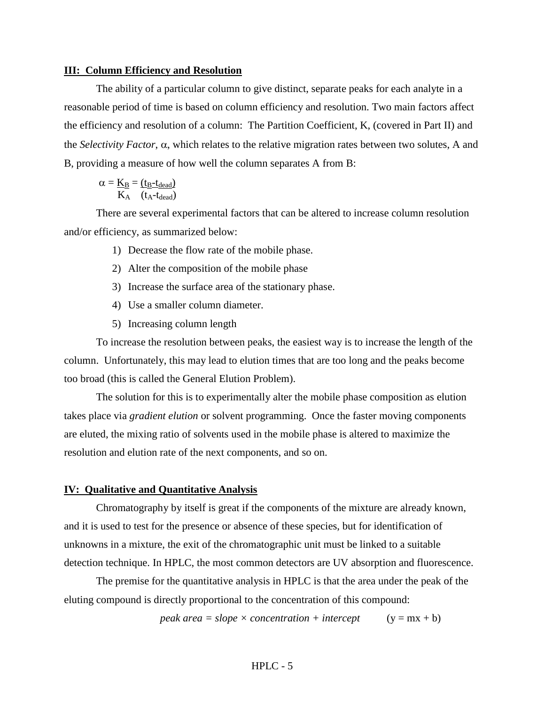#### **III: Column Efficiency and Resolution**

The ability of a particular column to give distinct, separate peaks for each analyte in a reasonable period of time is based on column efficiency and resolution. Two main factors affect the efficiency and resolution of a column: The Partition Coefficient, K, (covered in Part II) and the *Selectivity Factor*, α, which relates to the relative migration rates between two solutes, A and B, providing a measure of how well the column separates A from B:

$$
\alpha = \underline{K_B} = \underline{(t_B\text{-}t_{dead})} \over K_A \quad (t_A\text{-}t_{dead})
$$

There are several experimental factors that can be altered to increase column resolution and/or efficiency, as summarized below:

- 1) Decrease the flow rate of the mobile phase.
- 2) Alter the composition of the mobile phase
- 3) Increase the surface area of the stationary phase.
- 4) Use a smaller column diameter.
- 5) Increasing column length

To increase the resolution between peaks, the easiest way is to increase the length of the column. Unfortunately, this may lead to elution times that are too long and the peaks become too broad (this is called the General Elution Problem).

The solution for this is to experimentally alter the mobile phase composition as elution takes place via *gradient elution* or solvent programming. Once the faster moving components are eluted, the mixing ratio of solvents used in the mobile phase is altered to maximize the resolution and elution rate of the next components, and so on.

#### **IV: Qualitative and Quantitative Analysis**

Chromatography by itself is great if the components of the mixture are already known, and it is used to test for the presence or absence of these species, but for identification of unknowns in a mixture, the exit of the chromatographic unit must be linked to a suitable detection technique. In HPLC, the most common detectors are UV absorption and fluorescence.

The premise for the quantitative analysis in HPLC is that the area under the peak of the eluting compound is directly proportional to the concentration of this compound:

*peak area* = *slope*  $\times$  *concentration* + *intercept* (y = mx + b)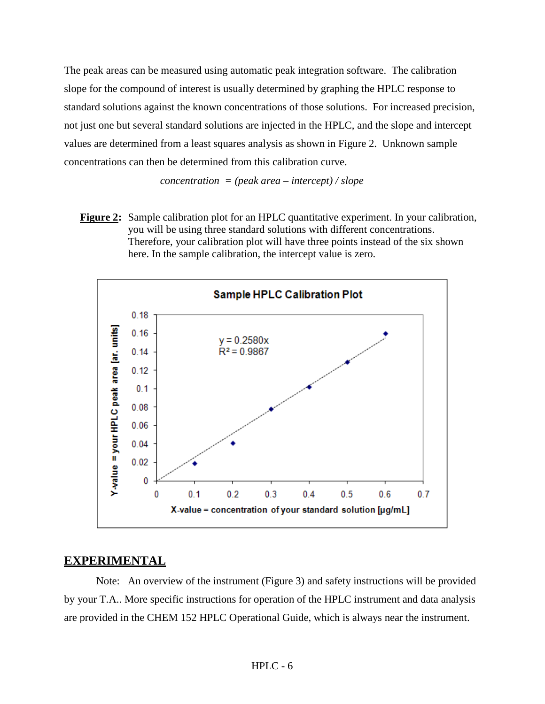The peak areas can be measured using automatic peak integration software. The calibration slope for the compound of interest is usually determined by graphing the HPLC response to standard solutions against the known concentrations of those solutions. For increased precision, not just one but several standard solutions are injected in the HPLC, and the slope and intercept values are determined from a least squares analysis as shown in Figure 2. Unknown sample concentrations can then be determined from this calibration curve.

*concentration = (peak area – intercept) / slope*

**Figure 2:** Sample calibration plot for an HPLC quantitative experiment. In your calibration, you will be using three standard solutions with different concentrations. Therefore, your calibration plot will have three points instead of the six shown here. In the sample calibration, the intercept value is zero.



# **EXPERIMENTAL**

Note: An overview of the instrument (Figure 3) and safety instructions will be provided by your T.A.. More specific instructions for operation of the HPLC instrument and data analysis are provided in the CHEM 152 HPLC Operational Guide, which is always near the instrument.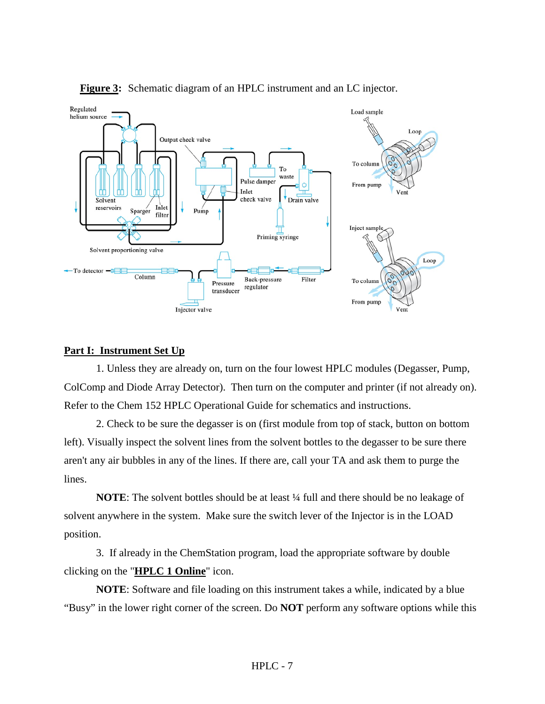

**Figure 3:** Schematic diagram of an HPLC instrument and an LC injector.

#### **Part I: Instrument Set Up**

1. Unless they are already on, turn on the four lowest HPLC modules (Degasser, Pump, ColComp and Diode Array Detector). Then turn on the computer and printer (if not already on). Refer to the Chem 152 HPLC Operational Guide for schematics and instructions.

2. Check to be sure the degasser is on (first module from top of stack, button on bottom left). Visually inspect the solvent lines from the solvent bottles to the degasser to be sure there aren't any air bubbles in any of the lines. If there are, call your TA and ask them to purge the lines.

**NOTE**: The solvent bottles should be at least  $\frac{1}{4}$  full and there should be no leakage of solvent anywhere in the system. Make sure the switch lever of the Injector is in the LOAD position.

3. If already in the ChemStation program, load the appropriate software by double clicking on the "**HPLC 1 Online**" icon.

**NOTE**: Software and file loading on this instrument takes a while, indicated by a blue "Busy" in the lower right corner of the screen. Do **NOT** perform any software options while this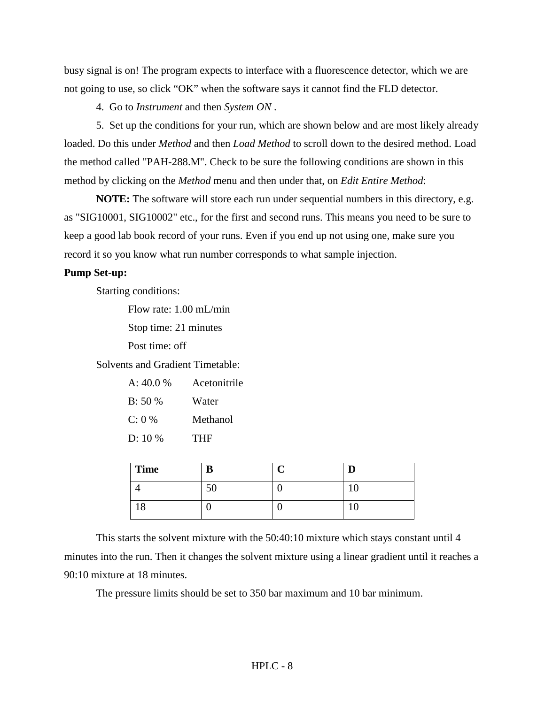busy signal is on! The program expects to interface with a fluorescence detector, which we are not going to use, so click "OK" when the software says it cannot find the FLD detector.

4. Go to *Instrument* and then *System ON* .

5. Set up the conditions for your run, which are shown below and are most likely already loaded. Do this under *Method* and then *Load Method* to scroll down to the desired method. Load the method called "PAH-288.M". Check to be sure the following conditions are shown in this method by clicking on the *Method* menu and then under that, on *Edit Entire Method*:

**NOTE:** The software will store each run under sequential numbers in this directory, e.g. as "SIG10001, SIG10002" etc., for the first and second runs. This means you need to be sure to keep a good lab book record of your runs. Even if you end up not using one, make sure you record it so you know what run number corresponds to what sample injection.

#### **Pump Set-up:**

Starting conditions:

Flow rate: 1.00 mL/min Stop time: 21 minutes

Post time: off

Solvents and Gradient Timetable:

| A: 40.0 % | Acetonitrile |  |  |
|-----------|--------------|--|--|
| B: 50%    | Water        |  |  |
| C: 0 %    | Methanol     |  |  |
| $D: 10\%$ | THF          |  |  |

| Time | m<br>n |    |
|------|--------|----|
|      | υU     | ιv |
| 10   |        | ΙU |

This starts the solvent mixture with the 50:40:10 mixture which stays constant until 4 minutes into the run. Then it changes the solvent mixture using a linear gradient until it reaches a 90:10 mixture at 18 minutes.

The pressure limits should be set to 350 bar maximum and 10 bar minimum.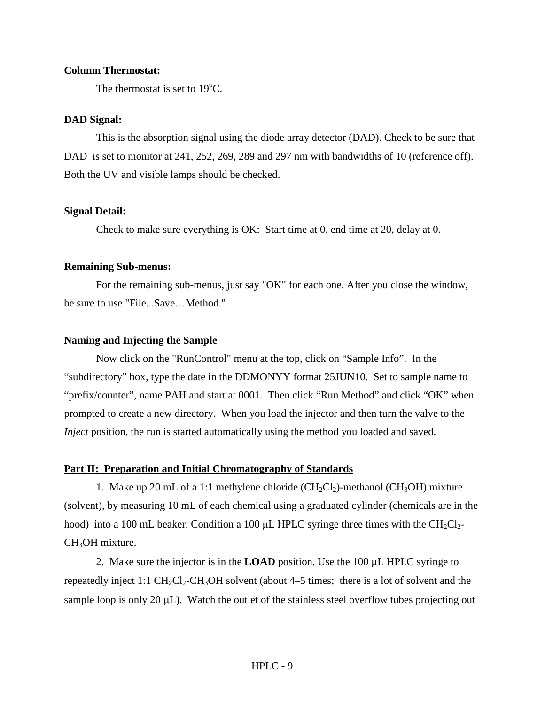#### **Column Thermostat:**

The thermostat is set to  $19^{\circ}$ C.

#### **DAD Signal:**

This is the absorption signal using the diode array detector (DAD). Check to be sure that DAD is set to monitor at 241, 252, 269, 289 and 297 nm with bandwidths of 10 (reference off). Both the UV and visible lamps should be checked.

#### **Signal Detail:**

Check to make sure everything is OK: Start time at 0, end time at 20, delay at 0.

#### **Remaining Sub-menus:**

For the remaining sub-menus, just say "OK" for each one. After you close the window, be sure to use "File...Save…Method."

#### **Naming and Injecting the Sample**

Now click on the "RunControl" menu at the top, click on "Sample Info". In the "subdirectory" box, type the date in the DDMONYY format 25JUN10. Set to sample name to "prefix/counter", name PAH and start at 0001. Then click "Run Method" and click "OK" when prompted to create a new directory. When you load the injector and then turn the valve to the *Inject* position, the run is started automatically using the method you loaded and saved.

#### **Part II: Preparation and Initial Chromatography of Standards**

1. Make up 20 mL of a 1:1 methylene chloride  $(CH_2Cl_2)$ -methanol (CH<sub>3</sub>OH) mixture (solvent), by measuring 10 mL of each chemical using a graduated cylinder (chemicals are in the hood) into a 100 mL beaker. Condition a 100  $\mu$ L HPLC syringe three times with the CH<sub>2</sub>Cl<sub>2</sub>-CH<sub>3</sub>OH mixture.

2. Make sure the injector is in the **LOAD** position. Use the 100 µL HPLC syringe to repeatedly inject 1:1  $CH_2Cl_2$ -CH<sub>3</sub>OH solvent (about 4–5 times; there is a lot of solvent and the sample loop is only 20  $\mu$ L). Watch the outlet of the stainless steel overflow tubes projecting out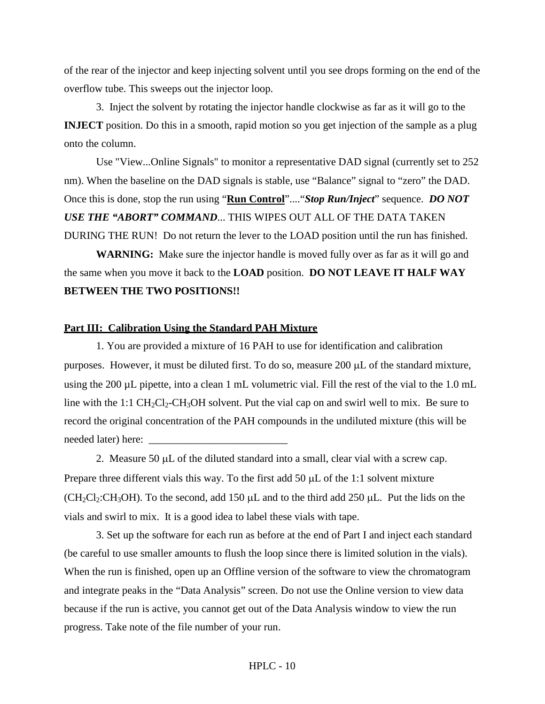of the rear of the injector and keep injecting solvent until you see drops forming on the end of the overflow tube. This sweeps out the injector loop.

3. Inject the solvent by rotating the injector handle clockwise as far as it will go to the **INJECT** position. Do this in a smooth, rapid motion so you get injection of the sample as a plug onto the column.

Use "View...Online Signals" to monitor a representative DAD signal (currently set to 252 nm). When the baseline on the DAD signals is stable, use "Balance" signal to "zero" the DAD. Once this is done, stop the run using "**Run Control**"...."*Stop Run/Inject*" sequence. *DO NOT USE THE "ABORT" COMMAND*... THIS WIPES OUT ALL OF THE DATA TAKEN DURING THE RUN! Do not return the lever to the LOAD position until the run has finished.

**WARNING:** Make sure the injector handle is moved fully over as far as it will go and the same when you move it back to the **LOAD** position. **DO NOT LEAVE IT HALF WAY BETWEEN THE TWO POSITIONS!!**

#### **Part III: Calibration Using the Standard PAH Mixture**

1. You are provided a mixture of 16 PAH to use for identification and calibration purposes. However, it must be diluted first. To do so, measure 200 µL of the standard mixture, using the 200 µL pipette, into a clean 1 mL volumetric vial. Fill the rest of the vial to the 1.0 mL line with the 1:1  $CH_2Cl_2$ -CH<sub>3</sub>OH solvent. Put the vial cap on and swirl well to mix. Be sure to record the original concentration of the PAH compounds in the undiluted mixture (this will be needed later) here:

2. Measure  $50 \mu L$  of the diluted standard into a small, clear vial with a screw cap. Prepare three different vials this way. To the first add 50  $\mu$ L of the 1:1 solvent mixture  $(CH_2Cl_2:CH_3OH)$ . To the second, add 150  $\mu$ L and to the third add 250  $\mu$ L. Put the lids on the vials and swirl to mix. It is a good idea to label these vials with tape.

3. Set up the software for each run as before at the end of Part I and inject each standard (be careful to use smaller amounts to flush the loop since there is limited solution in the vials). When the run is finished, open up an Offline version of the software to view the chromatogram and integrate peaks in the "Data Analysis" screen. Do not use the Online version to view data because if the run is active, you cannot get out of the Data Analysis window to view the run progress. Take note of the file number of your run.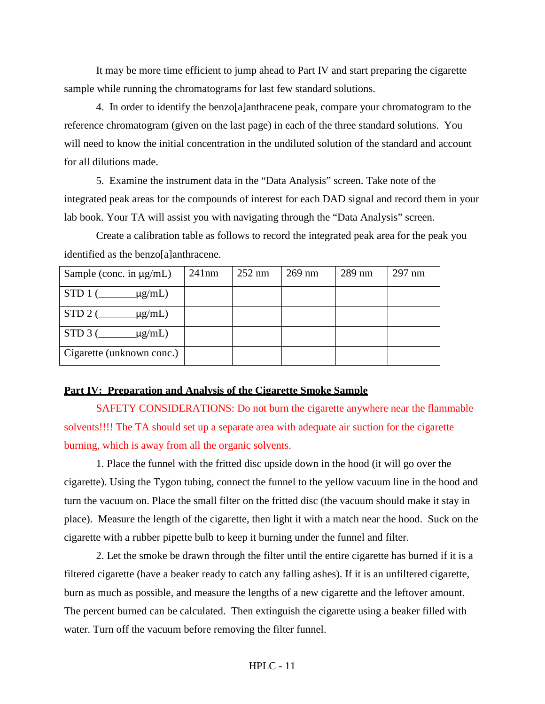It may be more time efficient to jump ahead to Part IV and start preparing the cigarette sample while running the chromatograms for last few standard solutions.

4. In order to identify the benzo[a]anthracene peak, compare your chromatogram to the reference chromatogram (given on the last page) in each of the three standard solutions. You will need to know the initial concentration in the undiluted solution of the standard and account for all dilutions made.

5. Examine the instrument data in the "Data Analysis" screen. Take note of the integrated peak areas for the compounds of interest for each DAD signal and record them in your lab book. Your TA will assist you with navigating through the "Data Analysis" screen.

Create a calibration table as follows to record the integrated peak area for the peak you identified as the benzo[a]anthracene.

| Sample (conc. in $\mu$ g/mL)      | 241nm | $252 \text{ nm}$ | $269$ nm | $289$ nm | $297$ nm |
|-----------------------------------|-------|------------------|----------|----------|----------|
| $STD1$ (<br>$\mu$ g/mL)           |       |                  |          |          |          |
| $STD$ 2 (<br>$\mu$ g/mL)          |       |                  |          |          |          |
| $STD$ 3 ( $\qquad$<br>$\mu$ g/mL) |       |                  |          |          |          |
| Cigarette (unknown conc.)         |       |                  |          |          |          |

#### **Part IV: Preparation and Analysis of the Cigarette Smoke Sample**

SAFETY CONSIDERATIONS: Do not burn the cigarette anywhere near the flammable solvents!!!! The TA should set up a separate area with adequate air suction for the cigarette burning, which is away from all the organic solvents.

1. Place the funnel with the fritted disc upside down in the hood (it will go over the cigarette). Using the Tygon tubing, connect the funnel to the yellow vacuum line in the hood and turn the vacuum on. Place the small filter on the fritted disc (the vacuum should make it stay in place). Measure the length of the cigarette, then light it with a match near the hood. Suck on the cigarette with a rubber pipette bulb to keep it burning under the funnel and filter.

2. Let the smoke be drawn through the filter until the entire cigarette has burned if it is a filtered cigarette (have a beaker ready to catch any falling ashes). If it is an unfiltered cigarette, burn as much as possible, and measure the lengths of a new cigarette and the leftover amount. The percent burned can be calculated. Then extinguish the cigarette using a beaker filled with water. Turn off the vacuum before removing the filter funnel.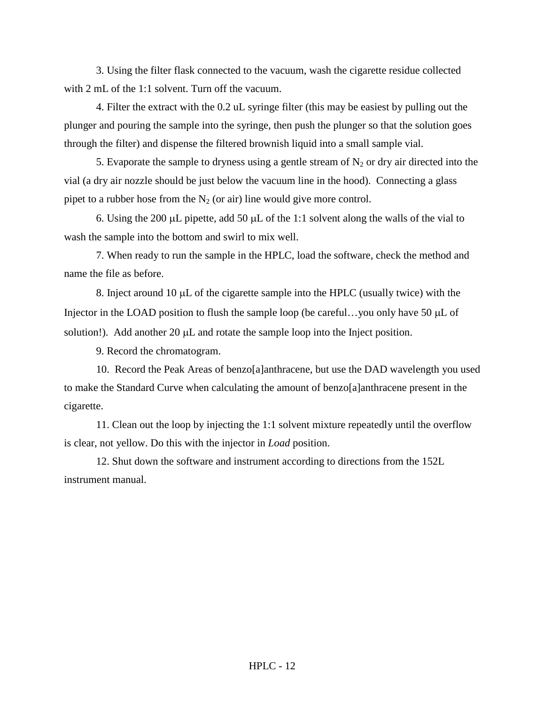3. Using the filter flask connected to the vacuum, wash the cigarette residue collected with 2 mL of the 1:1 solvent. Turn off the vacuum.

4. Filter the extract with the 0.2 uL syringe filter (this may be easiest by pulling out the plunger and pouring the sample into the syringe, then push the plunger so that the solution goes through the filter) and dispense the filtered brownish liquid into a small sample vial.

5. Evaporate the sample to dryness using a gentle stream of  $N_2$  or dry air directed into the vial (a dry air nozzle should be just below the vacuum line in the hood). Connecting a glass pipet to a rubber hose from the  $N_2$  (or air) line would give more control.

6. Using the 200  $\mu$ L pipette, add 50  $\mu$ L of the 1:1 solvent along the walls of the vial to wash the sample into the bottom and swirl to mix well.

7. When ready to run the sample in the HPLC, load the software, check the method and name the file as before.

8. Inject around 10  $\mu$ L of the cigarette sample into the HPLC (usually twice) with the Injector in the LOAD position to flush the sample loop (be careful...you only have 50 µL of solution!). Add another  $20 \mu L$  and rotate the sample loop into the Inject position.

9. Record the chromatogram.

10. Record the Peak Areas of benzo[a]anthracene, but use the DAD wavelength you used to make the Standard Curve when calculating the amount of benzo[a]anthracene present in the cigarette.

11. Clean out the loop by injecting the 1:1 solvent mixture repeatedly until the overflow is clear, not yellow. Do this with the injector in *Load* position.

12. Shut down the software and instrument according to directions from the 152L instrument manual.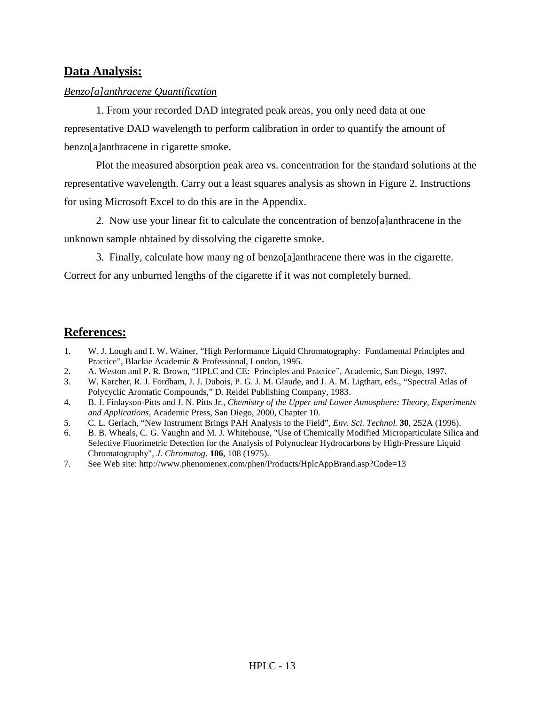## **Data Analysis:**

#### *Benzo[a]anthracene Quantification*

1. From your recorded DAD integrated peak areas, you only need data at one representative DAD wavelength to perform calibration in order to quantify the amount of benzo[a]anthracene in cigarette smoke.

Plot the measured absorption peak area vs. concentration for the standard solutions at the representative wavelength. Carry out a least squares analysis as shown in Figure 2. Instructions for using Microsoft Excel to do this are in the Appendix.

2. Now use your linear fit to calculate the concentration of benzo[a]anthracene in the unknown sample obtained by dissolving the cigarette smoke.

3. Finally, calculate how many ng of benzo[a]anthracene there was in the cigarette.

Correct for any unburned lengths of the cigarette if it was not completely burned.

## **References:**

- 1. W. J. Lough and I. W. Wainer, "High Performance Liquid Chromatography: Fundamental Principles and Practice", Blackie Academic & Professional, London, 1995.
- 2. A. Weston and P. R. Brown, "HPLC and CE: Principles and Practice", Academic, San Diego, 1997.
- 3. W. Karcher, R. J. Fordham, J. J. Dubois, P. G. J. M. Glaude, and J. A. M. Ligthart, eds., "Spectral Atlas of Polycyclic Aromatic Compounds," D. Reidel Publishing Company, 1983.
- 4. B. J. Finlayson-Pitts and J. N. Pitts Jr., *Chemistry of the Upper and Lower Atmosphere: Theory, Experiments and Applications*, Academic Press, San Diego, 2000, Chapter 10.
- 5. C. L. Gerlach, "New Instrument Brings PAH Analysis to the Field", *Env. Sci. Technol.* **30**, 252A (1996).
- 6. B. B. Wheals, C. G. Vaughn and M. J. Whitehouse, "Use of Chemically Modified Microparticulate Silica and Selective Fluorimetric Detection for the Analysis of Polynuclear Hydrocarbons by High-Pressure Liquid Chromatography", *J. Chromatog.* **106**, 108 (1975).
- 7. See Web site: http://www.phenomenex.com/phen/Products/HplcAppBrand.asp?Code=13